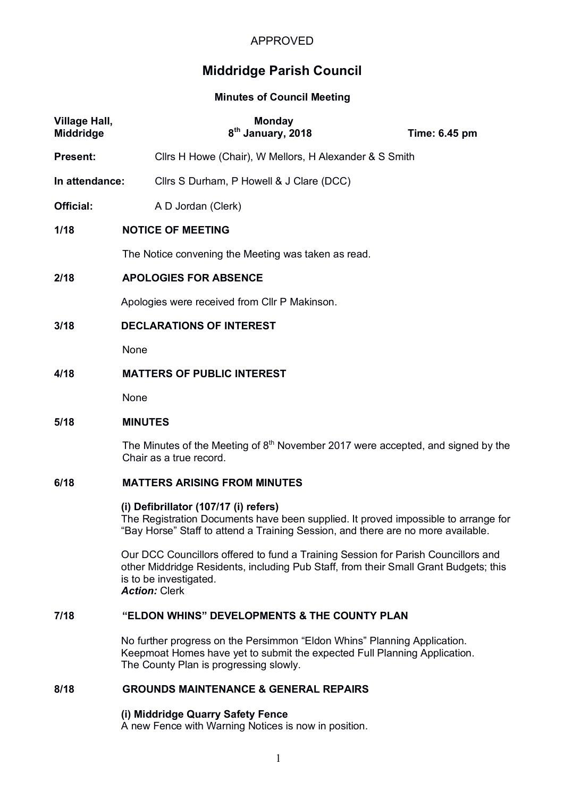# APPROVED

# **Middridge Parish Council**

#### **Minutes of Council Meeting**

| <b>Village Hall,</b><br><b>Middridge</b> | <b>Monday</b><br>8 <sup>th</sup> January, 2018                                                                | Time: 6.45 pm |
|------------------------------------------|---------------------------------------------------------------------------------------------------------------|---------------|
| <b>Present:</b>                          | Clirs H Howe (Chair), W Mellors, H Alexander & S Smith                                                        |               |
| In attendance:                           | Cllrs S Durham, P Howell & J Clare (DCC)                                                                      |               |
| Official:                                | A D Jordan (Clerk)                                                                                            |               |
| 1/18                                     | <b>NOTICE OF MEETING</b>                                                                                      |               |
|                                          | The Notice convening the Meeting was taken as read.                                                           |               |
| 2/18                                     | <b>APOLOGIES FOR ABSENCE</b>                                                                                  |               |
|                                          | Apologies were received from Cllr P Makinson.                                                                 |               |
| 3/18                                     | <b>DECLARATIONS OF INTEREST</b>                                                                               |               |
|                                          | None                                                                                                          |               |
| 4/18                                     | <b>MATTERS OF PUBLIC INTEREST</b>                                                                             |               |
|                                          | None                                                                                                          |               |
| 5/18                                     | <b>MINUTES</b>                                                                                                |               |
|                                          | The Minutes of the Meeting of $8th$ November 2017 were accepted, and signed by the<br>Chair as a true record. |               |

# **6/18 MATTERS ARISING FROM MINUTES**

#### **(i) Defibrillator (107/17 (i) refers)**

The Registration Documents have been supplied. It proved impossible to arrange for "Bay Horse" Staff to attend a Training Session, and there are no more available.

Our DCC Councillors offered to fund a Training Session for Parish Councillors and other Middridge Residents, including Pub Staff, from their Small Grant Budgets; this is to be investigated. *Action:* Clerk

## **7/18 "ELDON WHINS" DEVELOPMENTS & THE COUNTY PLAN**

No further progress on the Persimmon "Eldon Whins" Planning Application. Keepmoat Homes have yet to submit the expected Full Planning Application. The County Plan is progressing slowly.

# **8/18 GROUNDS MAINTENANCE & GENERAL REPAIRS**

#### **(i) Middridge Quarry Safety Fence**

A new Fence with Warning Notices is now in position.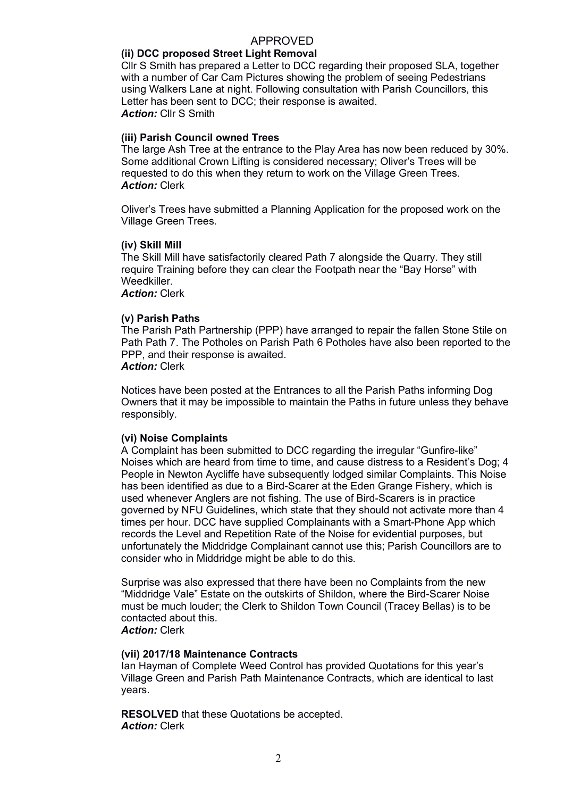#### APPROVED

### **(ii) DCC proposed Street Light Removal**

Cllr S Smith has prepared a Letter to DCC regarding their proposed SLA, together with a number of Car Cam Pictures showing the problem of seeing Pedestrians using Walkers Lane at night. Following consultation with Parish Councillors, this Letter has been sent to DCC; their response is awaited. *Action:* Cllr S Smith

#### **(iii) Parish Council owned Trees**

The large Ash Tree at the entrance to the Play Area has now been reduced by 30%. Some additional Crown Lifting is considered necessary; Oliver's Trees will be requested to do this when they return to work on the Village Green Trees. *Action:* Clerk

Oliver's Trees have submitted a Planning Application for the proposed work on the Village Green Trees.

#### **(iv) Skill Mill**

The Skill Mill have satisfactorily cleared Path 7 alongside the Quarry. They still require Training before they can clear the Footpath near the "Bay Horse" with Weedkiller.

*Action:* Clerk

#### **(v) Parish Paths**

The Parish Path Partnership (PPP) have arranged to repair the fallen Stone Stile on Path Path 7. The Potholes on Parish Path 6 Potholes have also been reported to the PPP, and their response is awaited.

### *Action:* Clerk

Notices have been posted at the Entrances to all the Parish Paths informing Dog Owners that it may be impossible to maintain the Paths in future unless they behave responsibly.

#### **(vi) Noise Complaints**

A Complaint has been submitted to DCC regarding the irregular "Gunfire-like" Noises which are heard from time to time, and cause distress to a Resident's Dog; 4 People in Newton Aycliffe have subsequently lodged similar Complaints. This Noise has been identified as due to a Bird-Scarer at the Eden Grange Fishery, which is used whenever Anglers are not fishing. The use of Bird-Scarers is in practice governed by NFU Guidelines, which state that they should not activate more than 4 times per hour. DCC have supplied Complainants with a Smart-Phone App which records the Level and Repetition Rate of the Noise for evidential purposes, but unfortunately the Middridge Complainant cannot use this; Parish Councillors are to consider who in Middridge might be able to do this.

Surprise was also expressed that there have been no Complaints from the new "Middridge Vale" Estate on the outskirts of Shildon, where the Bird-Scarer Noise must be much louder; the Clerk to Shildon Town Council (Tracey Bellas) is to be contacted about this.

*Action:* Clerk

#### **(vii) 2017/18 Maintenance Contracts**

Ian Hayman of Complete Weed Control has provided Quotations for this year's Village Green and Parish Path Maintenance Contracts, which are identical to last years.

**RESOLVED** that these Quotations be accepted. *Action:* Clerk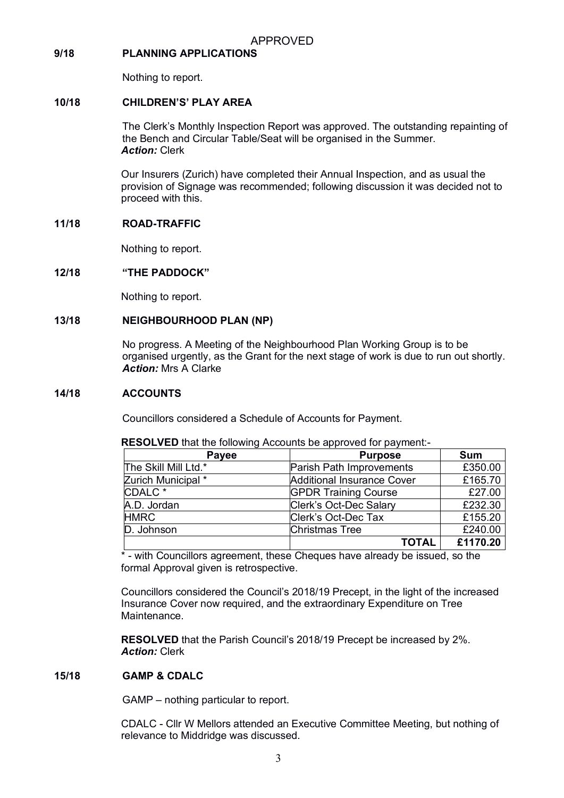## **9/18 PLANNING APPLICATIONS**

Nothing to report.

### **10/18 CHILDREN'S' PLAY AREA**

The Clerk's Monthly Inspection Report was approved. The outstanding repainting of the Bench and Circular Table/Seat will be organised in the Summer. *Action:* Clerk

Our Insurers (Zurich) have completed their Annual Inspection, and as usual the provision of Signage was recommended; following discussion it was decided not to proceed with this.

## **11/18 ROAD-TRAFFIC**

Nothing to report.

#### **12/18 "THE PADDOCK"**

Nothing to report.

## **13/18 NEIGHBOURHOOD PLAN (NP)**

No progress. A Meeting of the Neighbourhood Plan Working Group is to be organised urgently, as the Grant for the next stage of work is due to run out shortly. *Action:* Mrs A Clarke

#### **14/18 ACCOUNTS**

Councillors considered a Schedule of Accounts for Payment.

| Payee                | <b>Purpose</b>                    | <b>Sum</b> |
|----------------------|-----------------------------------|------------|
| The Skill Mill Ltd.* | Parish Path Improvements          | £350.00    |
| Zurich Municipal *   | <b>Additional Insurance Cover</b> | £165.70    |
| CDALC <sup>*</sup>   | <b>GPDR Training Course</b>       | £27.00     |
| A.D. Jordan          | Clerk's Oct-Dec Salary            | £232.30    |
| <b>HMRC</b>          | Clerk's Oct-Dec Tax               | £155.20    |
| D. Johnson           | <b>Christmas Tree</b>             | £240.00    |
|                      | <b>TOTAL</b>                      | £1170.20   |

**RESOLVED** that the following Accounts be approved for payment:-

\* - with Councillors agreement, these Cheques have already be issued, so the formal Approval given is retrospective.

Councillors considered the Council's 2018/19 Precept, in the light of the increased Insurance Cover now required, and the extraordinary Expenditure on Tree Maintenance.

**RESOLVED** that the Parish Council's 2018/19 Precept be increased by 2%. *Action:* Clerk

## **15/18 GAMP & CDALC**

GAMP – nothing particular to report.

CDALC - Cllr W Mellors attended an Executive Committee Meeting, but nothing of relevance to Middridge was discussed.